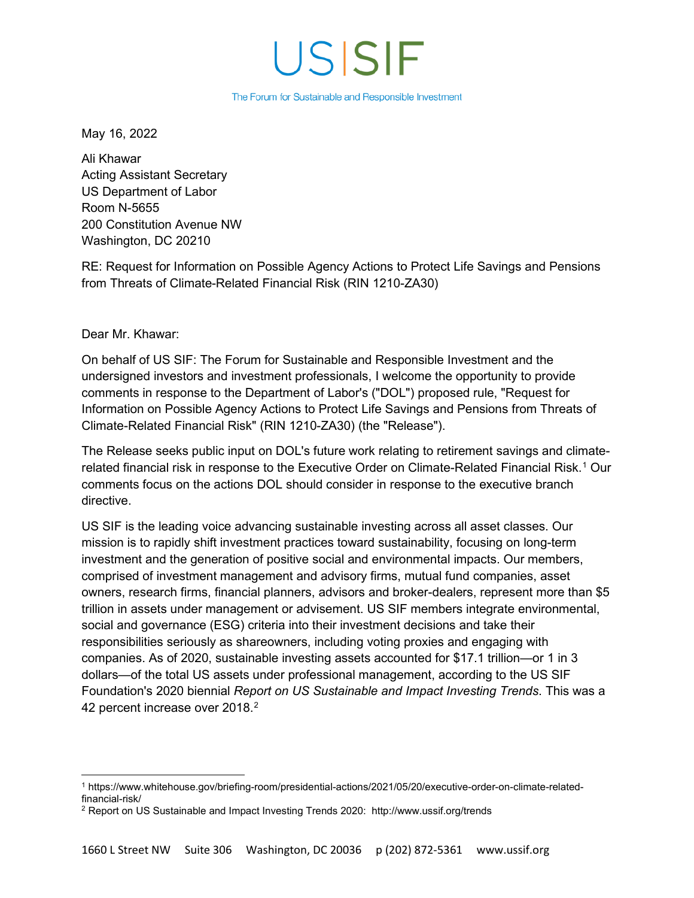# USISIF

The Forum for Sustainable and Responsible Investment

May 16, 2022

Ali Khawar Acting Assistant Secretary US Department of Labor Room N-5655 200 Constitution Avenue NW Washington, DC 20210

RE: Request for Information on Possible Agency Actions to Protect Life Savings and Pensions from Threats of Climate-Related Financial Risk (RIN 1210-ZA30)

#### Dear Mr. Khawar:

On behalf of US SIF: The Forum for Sustainable and Responsible Investment and the undersigned investors and investment professionals, I welcome the opportunity to provide comments in response to the Department of Labor's ("DOL") proposed rule, "Request for Information on Possible Agency Actions to Protect Life Savings and Pensions from Threats of Climate-Related Financial Risk" (RIN 1210-ZA30) (the "Release").

The Release seeks public input on DOL's future work relating to retirement savings and climaterelated financial risk in response to the Executive Order on Climate-Related Financial Risk. [1](#page-0-0) Our comments focus on the actions DOL should consider in response to the executive branch directive.

US SIF is the leading voice advancing sustainable investing across all asset classes. Our mission is to rapidly shift investment practices toward sustainability, focusing on long-term investment and the generation of positive social and environmental impacts. Our members, comprised of investment management and advisory firms, mutual fund companies, asset owners, research firms, financial planners, advisors and broker-dealers, represent more than \$5 trillion in assets under management or advisement. US SIF members integrate environmental, social and governance (ESG) criteria into their investment decisions and take their responsibilities seriously as shareowners, including voting proxies and engaging with companies. As of 2020, sustainable investing assets accounted for \$17.1 trillion—or 1 in 3 dollars—of the total US assets under professional management, according to the US SIF Foundation's 2020 biennial *Report on US Sustainable and Impact Investing Trends*. This was a 4[2](#page-0-1) percent increase over 2018.<sup>2</sup>

<span id="page-0-0"></span><sup>1</sup> https://www.whitehouse.gov/briefing-room/presidential-actions/2021/05/20/executive-order-on-climate-relatedfinancial-risk/

<span id="page-0-1"></span><sup>2</sup> Report on US Sustainable and Impact Investing Trends 2020: http://www.ussif.org/trends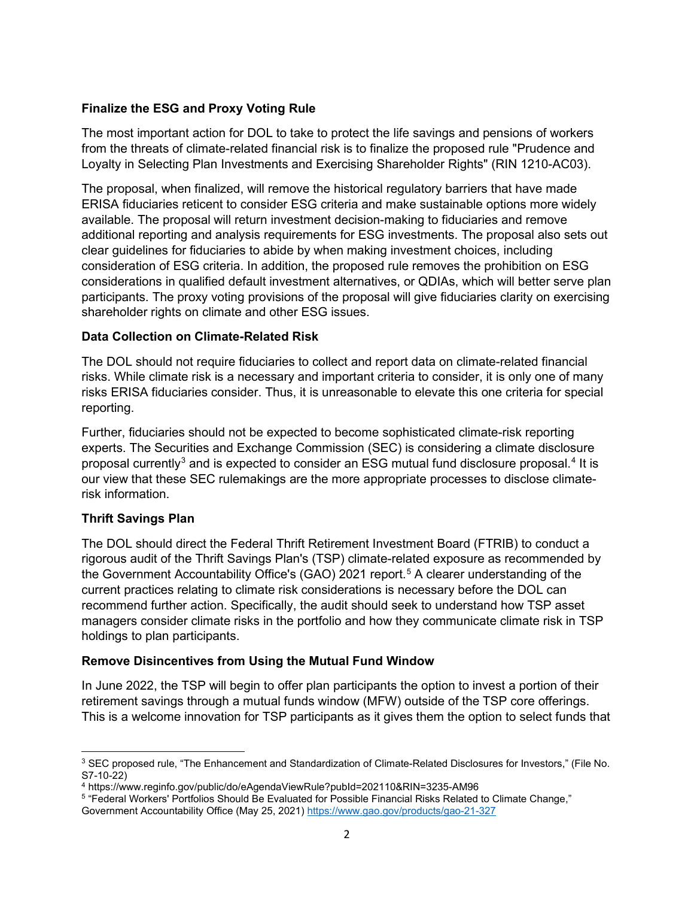## **Finalize the ESG and Proxy Voting Rule**

The most important action for DOL to take to protect the life savings and pensions of workers from the threats of climate-related financial risk is to finalize the proposed rule "Prudence and Loyalty in Selecting Plan Investments and Exercising Shareholder Rights" (RIN 1210-AC03).

The proposal, when finalized, will remove the historical regulatory barriers that have made ERISA fiduciaries reticent to consider ESG criteria and make sustainable options more widely available. The proposal will return investment decision-making to fiduciaries and remove additional reporting and analysis requirements for ESG investments. The proposal also sets out clear guidelines for fiduciaries to abide by when making investment choices, including consideration of ESG criteria. In addition, the proposed rule removes the prohibition on ESG considerations in qualified default investment alternatives, or QDIAs, which will better serve plan participants. The proxy voting provisions of the proposal will give fiduciaries clarity on exercising shareholder rights on climate and other ESG issues.

### **Data Collection on Climate-Related Risk**

The DOL should not require fiduciaries to collect and report data on climate-related financial risks. While climate risk is a necessary and important criteria to consider, it is only one of many risks ERISA fiduciaries consider. Thus, it is unreasonable to elevate this one criteria for special reporting.

Further, fiduciaries should not be expected to become sophisticated climate-risk reporting experts. The Securities and Exchange Commission (SEC) is considering a climate disclosure proposal currently $^3$  $^3$  and is expected to consider an ESG mutual fund disclosure proposal. $^4$  $^4$  It is our view that these SEC rulemakings are the more appropriate processes to disclose climaterisk information.

### **Thrift Savings Plan**

The DOL should direct the Federal Thrift Retirement Investment Board (FTRIB) to conduct a rigorous audit of the Thrift Savings Plan's (TSP) climate-related exposure as recommended by the Government Accountability Office's (GAO) 2021 report. [5](#page-1-2) A clearer understanding of the current practices relating to climate risk considerations is necessary before the DOL can recommend further action. Specifically, the audit should seek to understand how TSP asset managers consider climate risks in the portfolio and how they communicate climate risk in TSP holdings to plan participants.

### **Remove Disincentives from Using the Mutual Fund Window**

In June 2022, the TSP will begin to offer plan participants the option to invest a portion of their retirement savings through a mutual funds window (MFW) outside of the TSP core offerings. This is a welcome innovation for TSP participants as it gives them the option to select funds that

<span id="page-1-0"></span><sup>3</sup> SEC proposed rule, "The Enhancement and Standardization of Climate-Related Disclosures for Investors," (File No. S7-10-22)

<span id="page-1-1"></span><sup>4</sup> https://www.reginfo.gov/public/do/eAgendaViewRule?pubId=202110&RIN=3235-AM96

<span id="page-1-2"></span><sup>5 &</sup>quot;Federal Workers' Portfolios Should Be Evaluated for Possible Financial Risks Related to Climate Change," Government Accountability Office (May 25, 2021)<https://www.gao.gov/products/gao-21-327>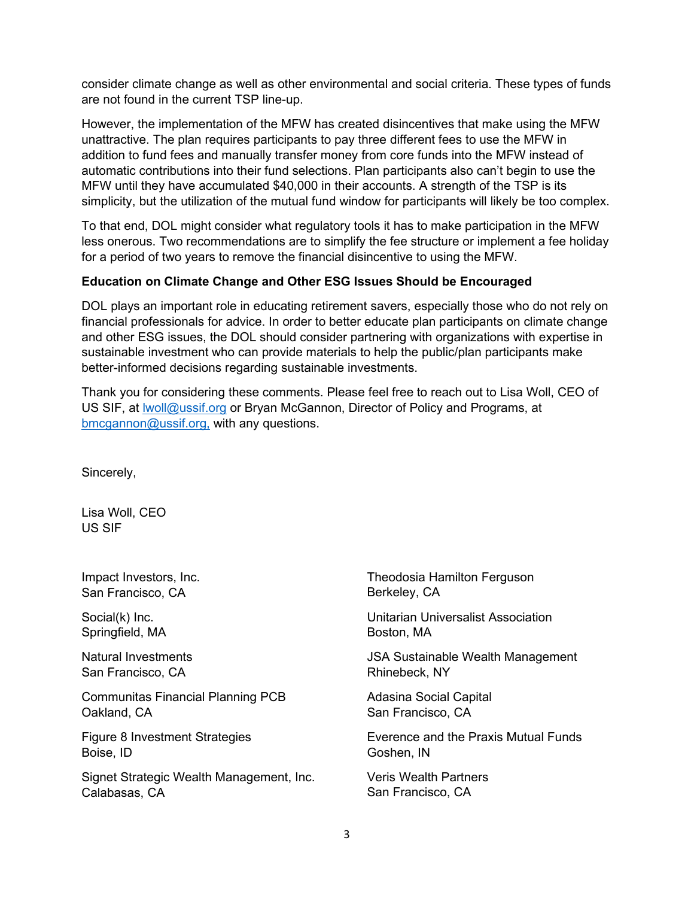consider climate change as well as other environmental and social criteria. These types of funds are not found in the current TSP line-up.

However, the implementation of the MFW has created disincentives that make using the MFW unattractive. The plan requires participants to pay three different fees to use the MFW in addition to fund fees and manually transfer money from core funds into the MFW instead of automatic contributions into their fund selections. Plan participants also can't begin to use the MFW until they have accumulated \$40,000 in their accounts. A strength of the TSP is its simplicity, but the utilization of the mutual fund window for participants will likely be too complex.

To that end, DOL might consider what regulatory tools it has to make participation in the MFW less onerous. Two recommendations are to simplify the fee structure or implement a fee holiday for a period of two years to remove the financial disincentive to using the MFW.

### **Education on Climate Change and Other ESG Issues Should be Encouraged**

DOL plays an important role in educating retirement savers, especially those who do not rely on financial professionals for advice. In order to better educate plan participants on climate change and other ESG issues, the DOL should consider partnering with organizations with expertise in sustainable investment who can provide materials to help the public/plan participants make better-informed decisions regarding sustainable investments.

Thank you for considering these comments. Please feel free to reach out to Lisa Woll, CEO of US SIF, at [lwoll@ussif.org](mailto:lwoll@ussif.org) or Bryan McGannon, Director of Policy and Programs, at [bmcgannon@ussif.org,](mailto:bmcgannon@ussif.org) with any questions.

Sincerely,

Lisa Woll, CEO US SIF

Impact Investors, Inc. San Francisco, CA

Social(k) Inc. Springfield, MA

Natural Investments San Francisco, CA

Communitas Financial Planning PCB Oakland, CA

Figure 8 Investment Strategies Boise, ID

Signet Strategic Wealth Management, Inc. Calabasas, CA

Theodosia Hamilton Ferguson Berkeley, CA

Unitarian Universalist Association Boston, MA

JSA Sustainable Wealth Management Rhinebeck, NY

Adasina Social Capital San Francisco, CA

Everence and the Praxis Mutual Funds Goshen, IN

Veris Wealth Partners San Francisco, CA